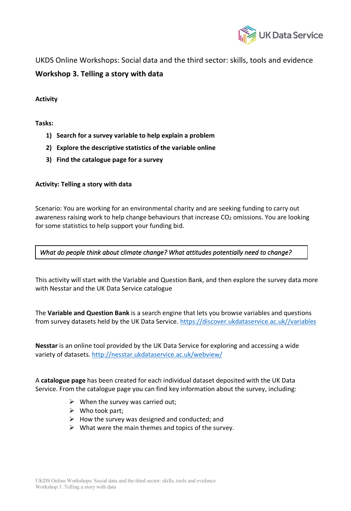

UKDS Online Workshops: Social data and the third sector: skills, tools and evidence **Workshop 3. Telling a story with data**

## **Activity**

## **Tasks:**

- **1) Search for a survey variable to help explain a problem**
- **2) Explore the descriptive statistics of the variable online**
- **3) Find the catalogue page for a survey**

## **Activity: Telling a story with data**

Scenario: You are working for an environmental charity and are seeking funding to carry out awareness raising work to help change behaviours that increase CO<sub>2</sub> omissions. You are looking for some statistics to help support your funding bid.

## *What do people think about climate change? What attitudes potentially need to change?*

This activity will start with the Variable and Question Bank, and then explore the survey data more with Nesstar and the UK Data Service catalogue

The **Variable and Question Bank** is a search engine that lets you browse variables and questions from survey datasets held by the UK Data Service. https://discover.ukdataservice.ac.uk//variables

**Nesstar** is an online tool provided by the UK Data Service for exploring and accessing a wide variety of datasets. http://nesstar.ukdataservice.ac.uk/webview/

A **catalogue page** has been created for each individual dataset deposited with the UK Data Service. From the catalogue page you can find key information about the survey, including:

- $\triangleright$  When the survey was carried out;
- $\triangleright$  Who took part;
- $\triangleright$  How the survey was designed and conducted; and
- $\triangleright$  What were the main themes and topics of the survey.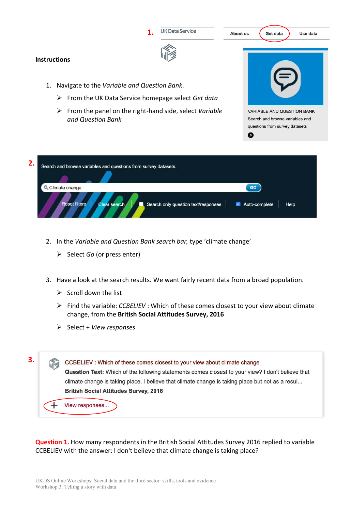

- 2. In the *Variable and Question Bank search bar,* type 'climate change'
	- Ø Select *Go* (or press enter)
- 3. Have a look at the search results. We want fairly recent data from a broad population.
	- $\triangleright$  Scroll down the list
	- Ø Find the variable: *CCBELIEV* : Which of these comes closest to your view about climate change, from the **British Social Attitudes Survey, 2016**
	- Ø Select + *View responses*

**3.**CCBELIEV : Which of these comes closest to your view about climate change Question Text: Which of the following statements comes closest to your view? I don't believe that climate change is taking place, I believe that climate change is taking place but not as a resul... **British Social Attitudes Survey, 2016** View responses...

**Question 1.** How many respondents in the British Social Attitudes Survey 2016 replied to variable CCBELIEV with the answer: I don't believe that climate change is taking place?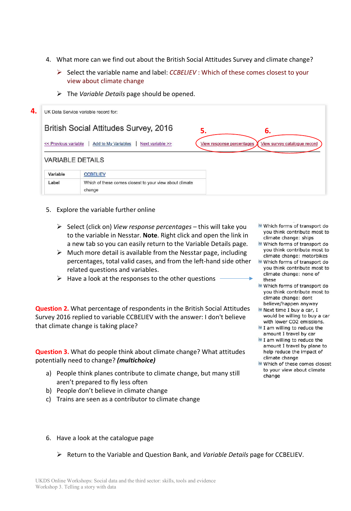- 4. What more can we find out about the British Social Attitudes Survey and climate change?
	- Ø Select the variable name and label: *CCBELIEV* : Which of these comes closest to your view about climate change
	- Ø The *Variable Details* page should be opened.

| 4. |                      | UK Data Service variable record for:                                                                        |
|----|----------------------|-------------------------------------------------------------------------------------------------------------|
|    |                      | <b>British Social Attitudes Survey, 2016</b><br>5.<br>6.                                                    |
|    | << Previous variable | <b>Add to My Variables</b><br>Next variable >><br>View survey catalogue record<br>View response percentages |
|    |                      | <b>VARIABLE DETAILS</b>                                                                                     |
|    | Variable             | <b>CCBELIEV</b>                                                                                             |
|    | Label                | Which of these comes closest to your view about climate<br>change                                           |

- 5. Explore the variable further online
	- Ø Select (click on) *View response percentages* this will take you to the variable in Nesstar. **Note**. Right click and open the link in a new tab so you can easily return to the Variable Details page.
	- $\triangleright$  Much more detail is available from the Nesstar page, including percentages, total valid cases, and from the left-hand side other related questions and variables.
	- $\triangleright$  Have a look at the responses to the other questions

**Question 2.** What percentage of respondents in the British Social Attitudes Survey 2016 replied to variable CCBELIEV with the answer: I don't believe that climate change is taking place?

**Question 3.** What do people think about climate change? What attitudes potentially need to change? *(multichoice)* 

- a) People think planes contribute to climate change, but many still aren't prepared to fly less often
- b) People don't believe in climate change
- c) Trains are seen as a contributor to climate change
- Which forms of transport do you think contribute most to climate change: ships
- Which forms of transport do you think contribute most to climate change: motorbikes
- Which forms of transport do you think contribute most to climate change: none of these
- Which forms of transport do you think contribute most to climate change: dont believe/happen anyway
- Next time I buy a car, I would be willing to buy a car with lower CO2 emissions.
- I am willing to reduce the amount I travel by car
- I am willing to reduce the amount I travel by plane to help reduce the impact of climate change
- Which of these comes closest to your view about climate change

6. Have a look at the catalogue page

Ø Return to the Variable and Question Bank, and *Variable Details* page for CCBELIEV.